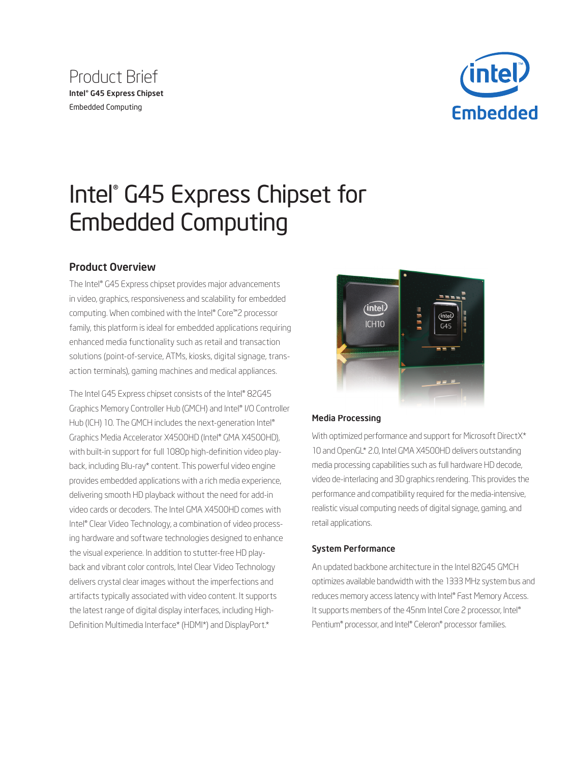



# Intel® G45 Express Chipset for Embedded Computing

# Product Overview

The Intel® G45 Express chipset provides major advancements in video, graphics, responsiveness and scalability for embedded computing. When combined with the Intel® Core™2 processor family, this platform is ideal for embedded applications requiring enhanced media functionality such as retail and transaction solutions (point-of-service, ATMs, kiosks, digital signage, transaction terminals), gaming machines and medical appliances.

The Intel G45 Express chipset consists of the Intel® 82G45 Graphics Memory Controller Hub (GMCH) and Intel® I/O Controller Hub (ICH) 10. The GMCH includes the next-generation Intel® Graphics Media Accelerator X4500HD (Intel® GMA X4500HD), with built-in support for full 1080p high-definition video playback, including Blu-ray\* content. This powerful video engine provides embedded applications with a rich media experience, delivering smooth HD playback without the need for add-in video cards or decoders. The Intel GMA X4500HD comes with Intel® Clear Video Technology, a combination of video processing hardware and software technologies designed to enhance the visual experience. In addition to stutter-free HD playback and vibrant color controls, Intel Clear Video Technology delivers crystal clear images without the imperfections and artifacts typically associated with video content. It supports the latest range of digital display interfaces, including High-Definition Multimedia Interface\* (HDMI\*) and DisplayPort.\*



## Media Processing

With optimized performance and support for Microsoft DirectX\* 10 and OpenGL\* 2.0, Intel GMA X4500HD delivers outstanding media processing capabilities such as full hardware HD decode, video de-interlacing and 3D graphics rendering. This provides the performance and compatibility required for the media-intensive, realistic visual computing needs of digital signage, gaming, and retail applications.

## System Performance

An updated backbone architecture in the Intel 82G45 GMCH optimizes available bandwidth with the 1333 MHz system bus and reduces memory access latency with Intel® Fast Memory Access. It supports members of the 45nm Intel Core 2 processor, Intel® Pentium® processor, and Intel® Celeron® processor families.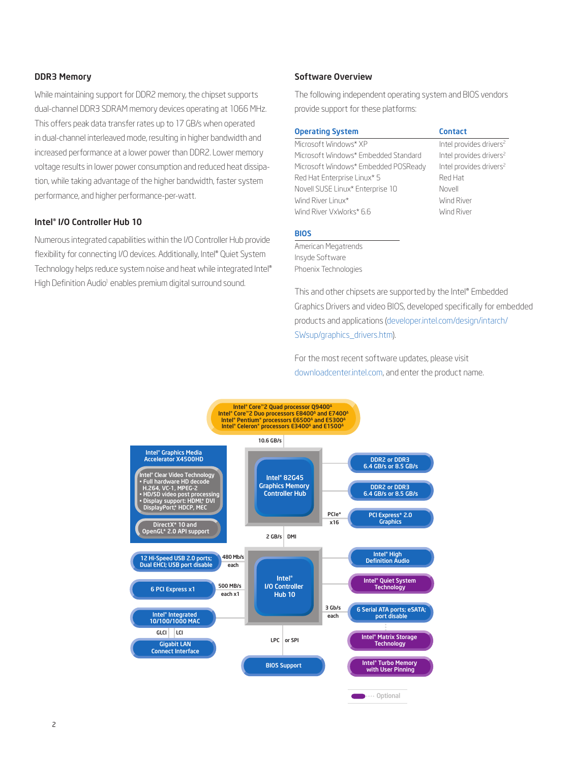#### DDR3 Memory

While maintaining support for DDR2 memory, the chipset supports dual-channel DDR3 SDRAM memory devices operating at 1066 MHz. This offers peak data transfer rates up to 17 GB/s when operated in dual-channel interleaved mode, resulting in higher bandwidth and increased performance at a lower power than DDR2. Lower memory voltage results in lower power consumption and reduced heat dissipation, while taking advantage of the higher bandwidth, faster system performance, and higher performance-per-watt.

#### Intel® I/O Controller Hub 10

Numerous integrated capabilities within the I/O Controller Hub provide flexibility for connecting I/O devices. Additionally, Intel® Quiet System Technology helps reduce system noise and heat while integrated Intel® High Definition Audio<sup>1</sup> enables premium digital surround sound.

#### Software Overview

The following independent operating system and BIOS vendors provide support for these platforms:

| <b>Operating System</b>              | <b>Contact</b>                      |
|--------------------------------------|-------------------------------------|
| Microsoft Windows* XP                | Intel provides drivers <sup>2</sup> |
| Microsoft Windows* Embedded Standard | Intel provides drivers <sup>2</sup> |
| Microsoft Windows* Embedded POSReady | Intel provides drivers <sup>2</sup> |
| Red Hat Enterprise Linux* 5          | Red Hat                             |
| Novell SUSE Linux* Enterprise 10     | Novell                              |
| Wind River Linux*                    | Wind River                          |
| Wind River VxWorks* 6.6              | Wind River                          |
|                                      |                                     |

#### BIOS

American Megatrends Insyde Software Phoenix Technologies

This and other chipsets are supported by the Intel® Embedded Graphics Drivers and video BIOS, developed specifically for embedded products and applications [\(developer.intel.com/design/intarch/](http://developer.intel.com/design/intarch/SWsup/graphics_drivers.htm) [SWsup/graphics\\_drivers.htm\)](http://developer.intel.com/design/intarch/SWsup/graphics_drivers.htm).

For the most recent software updates, please visit [downloadcenter.intel.com,](http://downloadcenter.intel.com) and enter the product name.

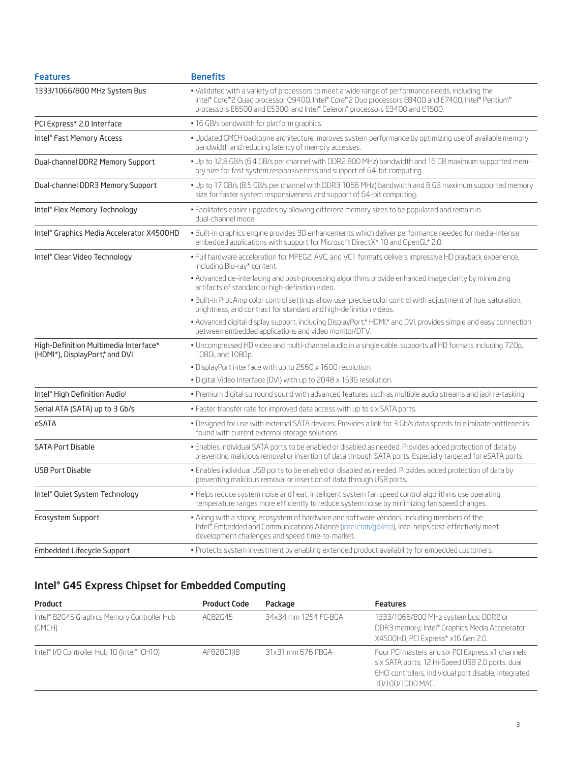| <b>Features</b>                                                         | <b>Benefits</b>                                                                                                                                                                                                                                                                       |  |  |
|-------------------------------------------------------------------------|---------------------------------------------------------------------------------------------------------------------------------------------------------------------------------------------------------------------------------------------------------------------------------------|--|--|
| 1333/1066/800 MHz System Bus                                            | . Validated with a variety of processors to meet a wide range of performance needs, including the<br>Intel® Core™2 Quad processor Q9400, Intel® Core™2 Duo processors E8400 and E7400, Intel® Pentium®<br>processors E6500 and E5300, and Intel® Celeron® processors E3400 and E1500. |  |  |
| PCI Express* 2.0 Interface                                              | . 16 GB/s bandwidth for platform graphics.                                                                                                                                                                                                                                            |  |  |
| Intel® Fast Memory Access                                               | . Updated GMCH backbone architecture improves system performance by optimizing use of available memory<br>bandwidth and reducing latency of memory accesses.                                                                                                                          |  |  |
| Dual-channel DDR2 Memory Support                                        | . Up to 12.8 GB/s (6.4 GB/s per channel with DDR2 800 MHz) bandwidth and 16 GB maximum supported mem-<br>ory size for fast system responsiveness and support of 64-bit computing.                                                                                                     |  |  |
| Dual-channel DDR3 Memory Support                                        | . Up to 17 GB/s (8.5 GB/s per channel with DDR3 1066 MHz) bandwidth and 8 GB maximum supported memory<br>size for faster system responsiveness and support of 64-bit computing.                                                                                                       |  |  |
| Intel® Flex Memory Technology                                           | • Facilitates easier upgrades by allowing different memory sizes to be populated and remain in<br>dual-channel mode.                                                                                                                                                                  |  |  |
| Intel® Graphics Media Accelerator X4500HD                               | · Built-in graphics engine provides 3D enhancements which deliver performance needed for media-intense<br>embedded applications with support for Microsoft DirectX* 10 and OpenGL* 2.0.                                                                                               |  |  |
| Intel® Clear Video Technology                                           | . Full hardware acceleration for MPEG2, AVC, and VC1 formats delivers impressive HD playback experience,<br>including Blu-ray* content.                                                                                                                                               |  |  |
|                                                                         | • Advanced de-interlacing and post-processing algorithms provide enhanced image clarity by minimizing<br>artifacts of standard or high-definition video.                                                                                                                              |  |  |
|                                                                         | . Built-in ProcAmp color control settings allow user precise color control with adjustment of hue, saturation,<br>brightness, and contrast for standard and high-definition videos.                                                                                                   |  |  |
|                                                                         | · Advanced digital display support, including DisplayPort,* HDMI,* and DVI, provides simple and easy connection<br>between embedded applications and video monitor/DTV.                                                                                                               |  |  |
| High-Definition Multimedia Interface*<br>(HDMI*), DisplayPort,* and DVI | . Uncompressed HD video and multi-channel audio in a single cable, supports all HD formats including 720p,<br>1080i, and 1080p.                                                                                                                                                       |  |  |
|                                                                         | . DisplayPort interface with up to 2560 x 1600 resolution.                                                                                                                                                                                                                            |  |  |
|                                                                         | · Digital Video Interface (DVI) with up to 2048 x 1536 resolution.                                                                                                                                                                                                                    |  |  |
| Intel® High Definition Audio <sup>1</sup>                               | · Premium digital surround sound with advanced features such as multiple audio streams and jack re-tasking                                                                                                                                                                            |  |  |
| Serial ATA (SATA) up to 3 Gb/s                                          | . Faster transfer rate for improved data access with up to six SATA ports.                                                                                                                                                                                                            |  |  |
| eSATA                                                                   | • Designed for use with external SATA devices. Provides a link for 3 Gb/s data speeds to eliminate bottlenecks<br>found with current external storage solutions.                                                                                                                      |  |  |
| <b>SATA Port Disable</b>                                                | · Enables individual SATA ports to be enabled or disabled as needed. Provides added protection of data by<br>preventing malicious removal or insertion of data through SATA ports. Especially targeted for eSATA ports.                                                               |  |  |
| <b>USB Port Disable</b>                                                 | . Enables individual USB ports to be enabled or disabled as needed. Provides added protection of data by<br>preventing malicious removal or insertion of data through USB ports.                                                                                                      |  |  |
| Intel® Quiet System Technology                                          | · Helps reduce system noise and heat. Intelligent system fan speed control algorithms use operating<br>temperature ranges more efficiently to reduce system noise by minimizing fan speed changes.                                                                                    |  |  |
| <b>Ecosystem Support</b>                                                | • Along with a strong ecosystem of hardware and software vendors, including members of the<br>Intel® Embedded and Communications Alliance (intel.com/go/eca), Intel helps cost-effectively meet<br>development challenges and speed time-to-market.                                   |  |  |
| Embedded Lifecycle Support                                              | . Protects system investment by enabling extended product availability for embedded customers.                                                                                                                                                                                        |  |  |
|                                                                         |                                                                                                                                                                                                                                                                                       |  |  |

# Intel® G45 Express Chipset for Embedded Computing

| Product                                               | <b>Product Code</b> | Package              | <b>Features</b>                                                                                                                                                                   |
|-------------------------------------------------------|---------------------|----------------------|-----------------------------------------------------------------------------------------------------------------------------------------------------------------------------------|
| Intel® 82G45 Graphics Memory Controller Hub<br>(GMCH) | AC82G45             | 34x34 mm 1254 FC-BGA | 1333/1066/800 MHz system bus; DDR2 or<br>DDR3 memory; Intel® Graphics Media Accelerator<br>X4500HD; PCI Express* x16 Gen 2.0.                                                     |
| Intel® I/O Controller Hub 10 (Intel® ICH10)           | AF82801 IB          | 31x31 mm 676 PBGA    | Four PCI masters and six PCI Express x1 channels;<br>six SATA ports; 12 Hi-Speed USB 2.0 ports, dual<br>EHCI controllers, individual port disable; integrated<br>10/100/1000 MAC. |